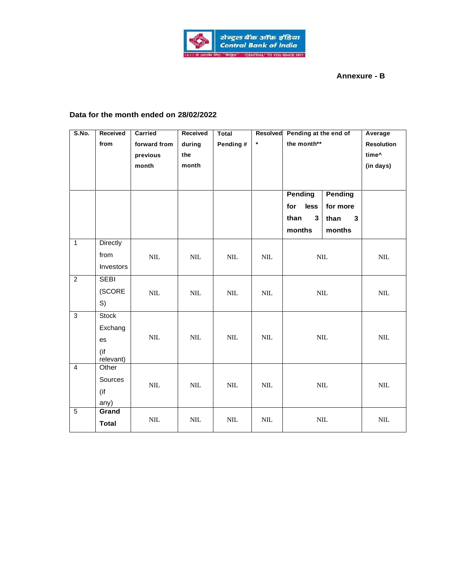

## **Annexure - B**

## **Data for the month ended on 28/02/2022**

| S.No.          | Received         | Carried      | Received     | Total        | Resolved     | Pending at the end of |                | Average           |
|----------------|------------------|--------------|--------------|--------------|--------------|-----------------------|----------------|-------------------|
|                | from             | forward from | during       | Pending #    | $\star$      | the month**           |                | <b>Resolution</b> |
|                |                  | previous     | the          |              |              |                       |                | time^             |
|                |                  | month        | month        |              |              |                       |                | (in days)         |
|                |                  |              |              |              |              |                       |                |                   |
|                |                  |              |              |              |              |                       |                |                   |
|                |                  |              |              |              |              | <b>Pending</b>        | <b>Pending</b> |                   |
|                |                  |              |              |              |              | for<br>less           | for more       |                   |
|                |                  |              |              |              |              | than<br>$\mathbf{3}$  | 3<br>than      |                   |
|                |                  |              |              |              |              | months                | months         |                   |
| $\mathbf{1}$   | <b>Directly</b>  |              |              |              |              |                       |                |                   |
|                | from             | $\mbox{NIL}$ | $\mbox{NIL}$ | $\text{NIL}$ | $\text{NIL}$ | $\mbox{NIL}$          |                | $\mbox{NIL}$      |
|                | Investors        |              |              |              |              |                       |                |                   |
| $\overline{2}$ | <b>SEBI</b>      |              |              |              |              |                       |                |                   |
|                | (SCORE           | $\text{NIL}$ | $\text{NIL}$ | $\text{NIL}$ | $\text{NIL}$ | $\text{NIL}$          |                | $\text{NIL}$      |
|                | S)               |              |              |              |              |                       |                |                   |
| $\overline{3}$ | Stock            |              |              |              |              |                       |                |                   |
|                | Exchang          |              |              |              |              | $\mbox{NIL}$          |                |                   |
|                | es               | $\mbox{NIL}$ | $\mbox{NIL}$ | $\text{NIL}$ | $\text{NIL}$ |                       |                | $\mbox{NIL}$      |
|                | (if<br>relevant) |              |              |              |              |                       |                |                   |
| $\overline{4}$ | Other            |              |              |              |              |                       |                |                   |
|                | Sources          |              |              |              |              |                       |                |                   |
|                | (if              | $\mbox{NIL}$ | $\text{NIL}$ | $\mbox{NIL}$ | $\mbox{NIL}$ |                       | $\mbox{NIL}$   | $\text{NIL}$      |
|                | any)             |              |              |              |              |                       |                |                   |
| $\overline{5}$ | Grand            |              |              |              |              |                       |                |                   |
|                | <b>Total</b>     | $\mbox{NIL}$ | $\mbox{NIL}$ | $\mbox{NIL}$ | $\mbox{NIL}$ |                       | $\mbox{NIL}$   | $\mbox{NIL}$      |